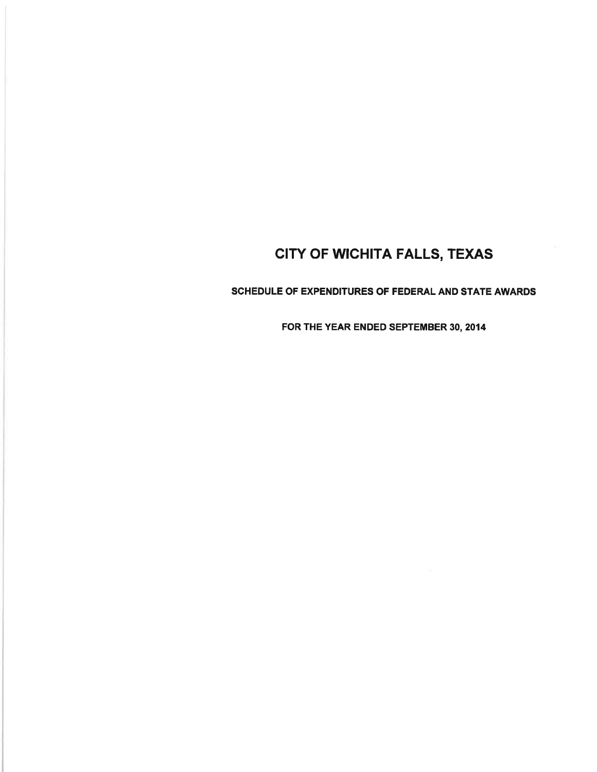## SCHEDULE OF EXPENDITURES OF FEDERAL AND STATE AWARDS

FOR THE YEAR ENDED SEPTEMBER 30, 2014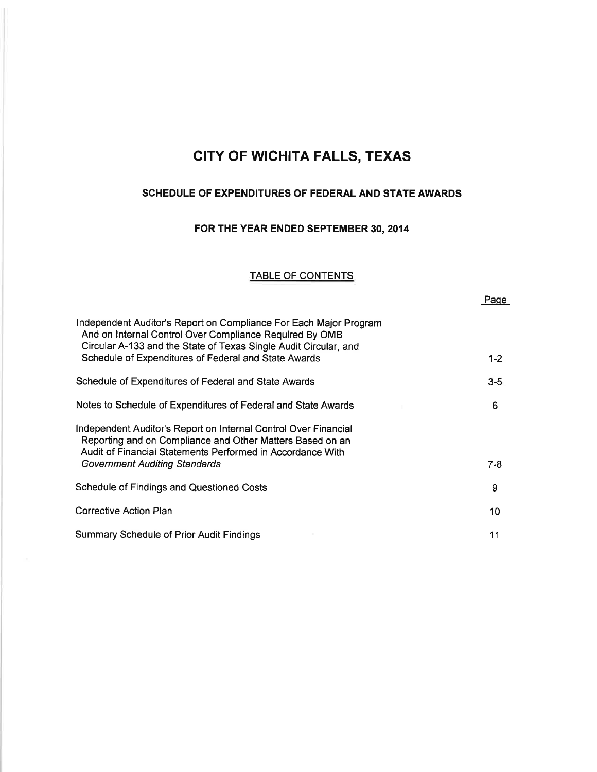## SCHEDULE OF EXPENDITURES OF FEDERAL AND STATE AWARDS

# FOR THE YEAR ENDED SEPTEMBER 30, 2014

## TABLE OF CONTENTS

|--|

| Independent Auditor's Report on Compliance For Each Major Program<br>And on Internal Control Over Compliance Required By OMB<br>Circular A-133 and the State of Texas Single Audit Circular, and |         |
|--------------------------------------------------------------------------------------------------------------------------------------------------------------------------------------------------|---------|
| Schedule of Expenditures of Federal and State Awards                                                                                                                                             | $1 - 2$ |
| Schedule of Expenditures of Federal and State Awards                                                                                                                                             | $3 - 5$ |
| Notes to Schedule of Expenditures of Federal and State Awards                                                                                                                                    | 6.      |
| Independent Auditor's Report on Internal Control Over Financial<br>Reporting and on Compliance and Other Matters Based on an<br>Audit of Financial Statements Performed in Accordance With       |         |
| Government Auditing Standards                                                                                                                                                                    | 7-8     |
| Schedule of Findings and Questioned Costs                                                                                                                                                        | 9       |
| <b>Corrective Action Plan</b>                                                                                                                                                                    | 10      |
| <b>Summary Schedule of Prior Audit Findings</b>                                                                                                                                                  | 11      |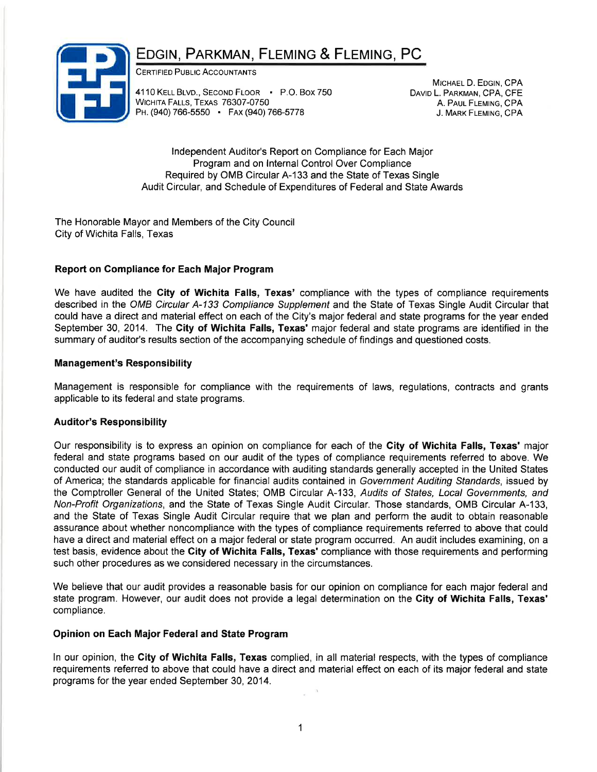# EDGIN, PARKMAN, FLEMING & FLEMING, PC



CERTIFIED PUBLIC ACCOUNTANTS

4110 KELL BLVD., SECOND FLOOR • P.O. BOX 750 WICHITA FALLS, TEXAS 76307-0750 PH. (940) 766-5550 FAX (940) 766-5778

MICHAEL D. EDGIN, CPA DAVID L. PARKMAN, CPA, CFE A. PAUL FLEMING, CPA J. MARK FLEMING, CPA

lndependent Auditor's Report on Compliance for Each Major Program and on lnternal Control Over Compliance Required by OMB Circular A-133 and the State of Texas Single Audit Circular, and Schedule of Expenditures of Federal and State Awards

The Honorable Mayor and Members of the City Council City of Wichita Falls, Texas

### Report on Gompliance for Each Major Program

We have audited the City of Wichita Falls, Texas' compliance with the types of compliance requirements described in the OMB Circular A-133 Compliance Supplement and the State of Texas Single Audit Circular that could have a direct and material effect on each of the City's major federal and state programs for the year ended September 30, 2014. The City of Wichita Falls, Texas' major federal and state programs are identified in the summary of auditor's results section of the accompanying schedule of findings and questioned costs.

### Management's Responsibility

Management is responsible for compliance with the requirements of laws, regulations, contracts and grants applicable to its federal and state programs.

### Auditor's Responsibility

Our responsibility is to express an opinion on compliance for each of the Gity of Wichita Falls, Texas' major federal and state programs based on our audit of the types of compliance requirements referred to above. We conducted our audit of compliance in accordance with auditing standards generally accepted in the United States of America; the standards applicable for financial audits contained in Government Auditing Standards, issued by the Comptroller General of the United States; OMB Circular A-133, Audits of States, Local Governments, and Non-Profit Organizations, and the State of Texas Single Audit Circular. Those standards, OMB Circular A-133, and the State of Texas Single Audit Gircular require that we plan and perform the audit to obtain reasonable assurance about whether noncompliance with the types of compliance requirements referred to above that could have a direct and material effect on a major federal or state program occurred. An audit includes examining, on a test basis, evidence about the City of Wichita Falls, Texas' compliance with those requirements and performing such other procedures as we considered necessary in the circumstances.

We believe that our audit provides a reasonable basis for our opinion on compliance for each major federal and state program. However, our audit does not provide a legal determination on the City of Wichita Falls, Texas' compliance.

### Opinion on Each Major Federal and State Program

ln our opinion, the Gity of Wichita Falls, Texas complied, in all material respects, with the types of compliance requirements referred to above that could have a direct and material effect on each of its major federal and state programs for the year ended September 30,2014.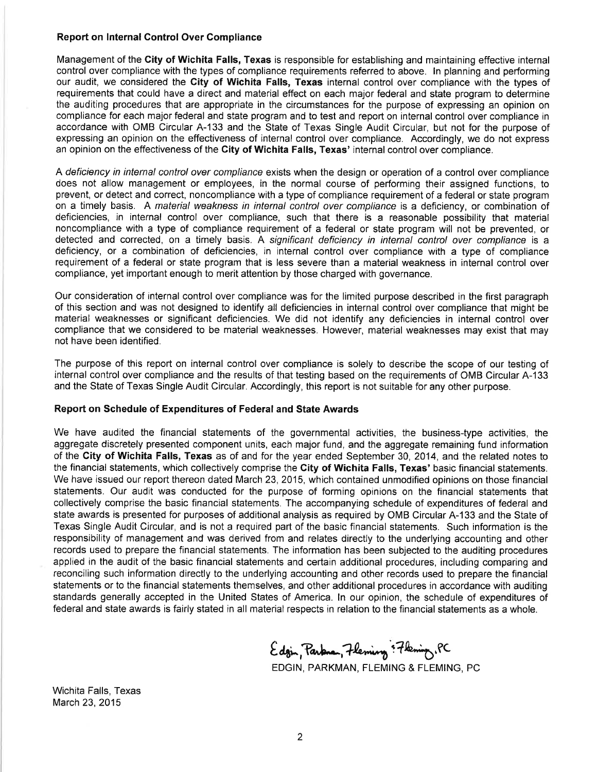#### Report on lnternal Control Over Compliance

Management of the City of Wichita Falls, Texas is responsible for establishing and maintaining effective internal control over compliance with the types of compliance requirements referred to above. ln planning and performing our audit, we considered the City of Wichita Falls, Texas internal control over compliance with the types of requirements that could have a direct and material effect on each major federal and state program to determine the auditing procedures that are appropriate in the circumstances for the purpose of expressing an opinion on compliance for each major federal and state program and to test and report on internal control over compliance in accordance with OMB Circular A-133 and the State of Texas Single Audit Circular, but not for the purpose of expressing an opinion on the effectiveness of internal control over compliance. Accordingly, we do not express an opinion on the effectiveness of the City of Wichita Falls, Texas' internal control over compliance.

A deficiency in internal control over compliance exists when the design or operation of a control over compliance does not allow management or employees, in the normal course of performing their assigned functions, to prevent, or detect and correct, noncompliance with a type of compliance requirement of a federal or state program on a timely basis. A material weakness in internal control over complrance is a deficiency, or combination of deficiencies, in internal control over compliance, such that there is a reasonable possibility that material noncompliance with a type of compliance requirement of a federal or state program will not be prevented, or detected and corrected, on a timely basis. A significant deficiency in internal control over compliance is a deficiency, or a combination of deficiencies, in internal control over compliance with a type of compliance requirement of a federal or state program that is less severe than a material weakness in internal control over compliance, yet important enough to merit attention by those charged with governance.

Our consideration of internal control over compliance was for the limited purpose described in the first paragraph of this section and was not designed to identify all deficiencies in internal control over compliance that might be material weaknesses or significant deficiencies. We did not identify any deficiencies in internal control over compliance that we considered to be material weaknesses. However, material weaknesses may exist that may not have been identified.

The purpose of this report on internal control over compliance is solely to describe the scope of our testing of internal control over compliance and the results of that testing based on the requirements of OMB Circular A-133 and the State of Texas Single Audit Circular. Accordingly, this report is not suitable for any other purpose.

#### Report on Schedule of Expenditures of Federal and State Awards

We have audited the financial statements of the governmental activities, the business-type activities, the aggregate discretely presented component units, each major fund, and the aggregate remaining fund information of the City of Wichita Falls, Texas as of and for the year ended September 30,2014, and the related notes to the financial statements, which collectively comprise the City of Wichita Falls, Texas' basic financial statements. We have issued our report thereon dated March 23, 2015, which contained unmodified opinions on those financial statements. Our audit was conducted for the purpose of forming opinions on the financial statements that collectively comprise the basic financial statements. The accompanying schedule of expenditures of federal and state awards is presented for purposes of additional analysis as required by OMB Circular A-133 and the State of Texas Single Audit Circular, and is not a required part of the basic financial statements. Such information is the responsibility of management and was derived from and relates directly to the underlying accounting and other records used to prepare the financial statements. The information has been subjected to the auditing procedures applied in the audit of the basic financial statements and certain additional procedures, including comparing and reconciling such information directly to the underlying accounting and other records used to prepare the financial statements or to the financial statements themselves, and other additional procedures in accordance with auditing standards generally accepted in the United States of America. ln our opinion, the schedule of expenditures of federal and state awards is fairly stated in all material respects in relation to the financial statements as a whole.

Edgin, Parkna, 7 leming : 7 kening, PC EDGIN, PARKMAN, FLEMING & FLEMING, PC

Wichita Falls, Texas March 23,2015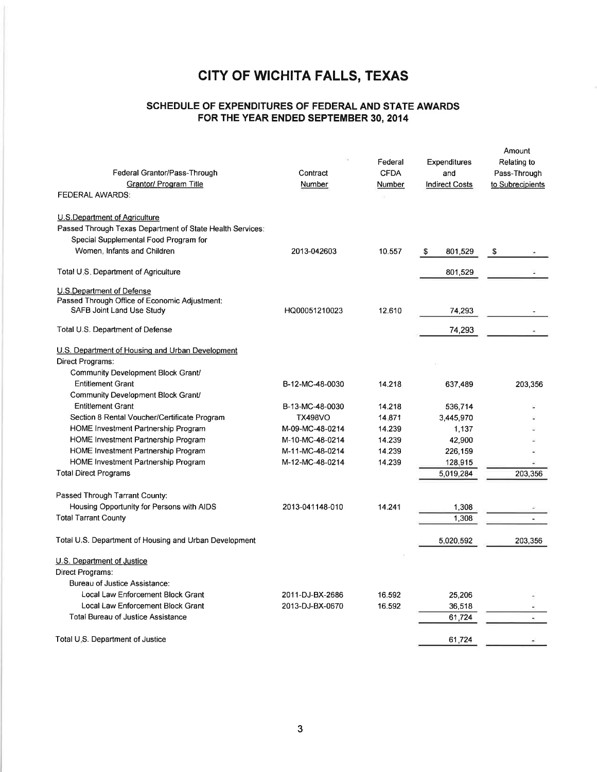## SCHEDULE OF EXPENDITURES OF FEDERAL AND STATE AWARDS FOR THE YEAR ENDED SEPTEMBER 30, 2014

| Federal Grantor/Pass-Through<br><b>Grantor/ Program Title</b>                                                                                                       | Contract<br>Number | Federal<br><b>CFDA</b><br>Number | Expenditures<br>and<br><b>Indirect Costs</b> | Amount<br>Relating to<br>Pass-Through<br>to Subrecipients |
|---------------------------------------------------------------------------------------------------------------------------------------------------------------------|--------------------|----------------------------------|----------------------------------------------|-----------------------------------------------------------|
| <b>FEDERAL AWARDS:</b>                                                                                                                                              |                    |                                  |                                              |                                                           |
| U.S. Department of Agriculture<br>Passed Through Texas Department of State Health Services:<br>Special Supplemental Food Program for<br>Women, Infants and Children | 2013-042603        | 10.557                           | \$<br>801,529                                | \$                                                        |
| Total U.S. Department of Agriculture                                                                                                                                |                    |                                  | 801,529                                      |                                                           |
| U.S.Department of Defense<br>Passed Through Office of Economic Adjustment:<br>SAFB Joint Land Use Study                                                             | HQ00051210023      | 12.610                           | 74,293                                       |                                                           |
| Total U.S. Department of Defense                                                                                                                                    |                    |                                  | 74,293                                       |                                                           |
| U.S. Department of Housing and Urban Development<br>Direct Programs:                                                                                                |                    |                                  |                                              |                                                           |
| Community Development Block Grant/<br><b>Entitlement Grant</b><br>Community Development Block Grant/                                                                | B-12-MC-48-0030    | 14.218                           | 637,489                                      | 203 356                                                   |
| <b>Entitlement Grant</b>                                                                                                                                            | B-13-MC-48-0030    | 14.218                           | 536,714                                      |                                                           |
| Section 8 Rental Voucher/Certificate Program                                                                                                                        | <b>TX498VO</b>     | 14.871                           | 3,445,970                                    |                                                           |
| HOME Investment Partnership Program                                                                                                                                 | M-09-MC-48-0214    | 14.239                           | 1,137                                        |                                                           |
| HOME Investment Partnership Program                                                                                                                                 | M-10-MC-48-0214    | 14.239                           | 42,900                                       |                                                           |
| HOME Investment Partnership Program                                                                                                                                 | M-11-MC-48-0214    | 14.239                           | 226,159                                      |                                                           |
| HOME Investment Partnership Program                                                                                                                                 | M-12-MC-48-0214    | 14.239                           | 128,915                                      |                                                           |
| <b>Total Direct Programs</b>                                                                                                                                        |                    |                                  | 5,019,284                                    | 203,356                                                   |
| Passed Through Tarrant County:                                                                                                                                      |                    |                                  |                                              |                                                           |
| Housing Opportunity for Persons with AIDS                                                                                                                           | 2013-041148-010    | 14.241                           | 1,308                                        |                                                           |
| <b>Total Tarrant County</b>                                                                                                                                         |                    |                                  | 1,308                                        |                                                           |
| Total U.S. Department of Housing and Urban Development                                                                                                              |                    |                                  | 5,020,592                                    | 203,356                                                   |
| U.S. Department of Justice<br>Direct Programs:<br>Bureau of Justice Assistance:                                                                                     |                    |                                  |                                              |                                                           |
| Local Law Enforcement Block Grant                                                                                                                                   | 2011-DJ-BX-2686    | 16.592                           | 25,206                                       |                                                           |
| Local Law Enforcement Block Grant                                                                                                                                   | 2013-DJ-BX-0670    | 16.592                           | 36,518                                       |                                                           |
| Total Bureau of Justice Assistance                                                                                                                                  |                    |                                  | 61,724                                       |                                                           |
| Total U.S. Department of Justice                                                                                                                                    |                    |                                  | 61,724                                       |                                                           |
|                                                                                                                                                                     |                    |                                  |                                              |                                                           |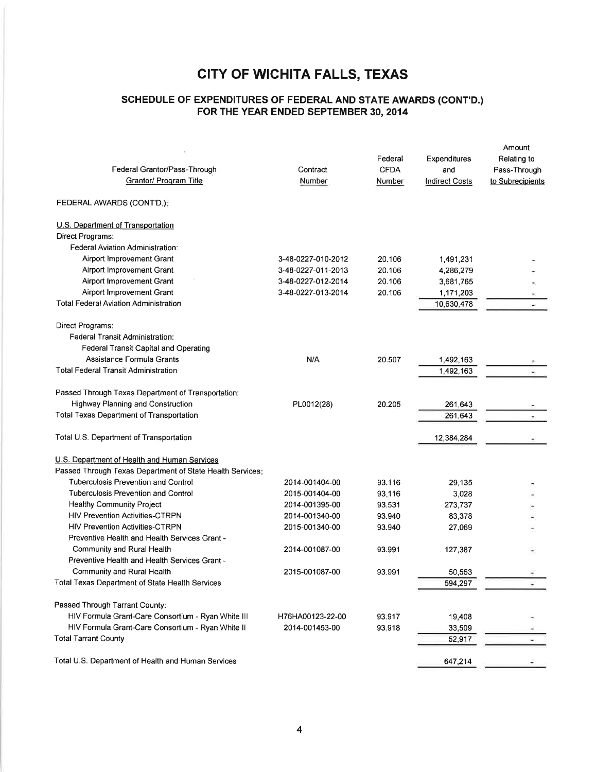## ScHEDULE OF EXPENDTTURES OF FEDERAL AND STATE AWARDS (CONT'D.) FOR THE YEAR ENDED SEPTEMBER 30, 2014

| Federal Grantor/Pass-Through<br>Grantor/ Program Title    | Contract<br>Number | Federal<br><b>CFDA</b><br>Number | Expenditures<br>and<br><b>Indirect Costs</b> | Amount<br>Relating to<br>Pass-Through<br>to Subrecipients |
|-----------------------------------------------------------|--------------------|----------------------------------|----------------------------------------------|-----------------------------------------------------------|
| FEDERAL AWARDS (CONT'D.):                                 |                    |                                  |                                              |                                                           |
| U.S. Department of Transportation                         |                    |                                  |                                              |                                                           |
| Direct Programs:                                          |                    |                                  |                                              |                                                           |
| Federal Aviation Administration:                          |                    |                                  |                                              |                                                           |
| Airport Improvement Grant                                 | 3-48-0227-010-2012 | 20.106                           | 1,491,231                                    |                                                           |
| Airport Improvement Grant                                 | 3-48-0227-011-2013 | 20.106                           | 4,286,279                                    |                                                           |
| Airport Improvement Grant                                 | 3-48-0227-012-2014 | 20.106                           | 3,681,765                                    |                                                           |
| Airport Improvement Grant                                 | 3-48-0227-013-2014 | 20.106                           | 1,171,203                                    |                                                           |
| <b>Total Federal Aviation Administration</b>              |                    |                                  | 10,630,478                                   |                                                           |
| Direct Programs:                                          |                    |                                  |                                              |                                                           |
| <b>Federal Transit Administration:</b>                    |                    |                                  |                                              |                                                           |
| Federal Transit Capital and Operating                     |                    |                                  |                                              |                                                           |
| Assistance Formula Grants                                 | N/A                | 20.507                           | 1,492,163                                    |                                                           |
| <b>Total Federal Transit Administration</b>               |                    |                                  | 1,492,163                                    |                                                           |
|                                                           |                    |                                  |                                              |                                                           |
| Passed Through Texas Department of Transportation:        |                    |                                  |                                              |                                                           |
| Highway Planning and Construction                         | PL0012(28)         | 20.205                           | 261,643                                      |                                                           |
| <b>Total Texas Department of Transportation</b>           |                    |                                  | 261,643                                      | $\bullet$                                                 |
| Total U.S. Department of Transportation                   |                    |                                  | 12,384,284                                   |                                                           |
| U.S. Department of Health and Human Services              |                    |                                  |                                              |                                                           |
| Passed Through Texas Department of State Health Services: |                    |                                  |                                              |                                                           |
| <b>Tuberculosis Prevention and Control</b>                | 2014-001404-00     | 93.116                           | 29,135                                       |                                                           |
| <b>Tuberculosis Prevention and Control</b>                | 2015-001404-00     | 93.116                           | 3,028                                        |                                                           |
| Healthy Community Project                                 | 2014-001395-00     | 93.531                           | 273,737                                      |                                                           |
| <b>HIV Prevention Activities-CTRPN</b>                    | 2014-001340-00     | 93.940                           | 83,378                                       |                                                           |
| <b>HIV Prevention Activities-CTRPN</b>                    | 2015-001340-00     | 93.940                           | 27,069                                       |                                                           |
| Preventive Health and Health Services Grant -             |                    |                                  |                                              |                                                           |
| Community and Rural Health                                | 2014-001087-00     | 93.991                           | 127,387                                      |                                                           |
| Preventive Health and Health Services Grant -             |                    |                                  |                                              |                                                           |
| Community and Rural Health                                | 2015-001087-00     | 93.991                           | 50,563                                       |                                                           |
| Total Texas Department of State Health Services           |                    |                                  | 594,297                                      |                                                           |
| Passed Through Tarrant County:                            |                    |                                  |                                              |                                                           |
| HIV Formula Grant-Care Consortium - Ryan White III        | H76HA00123-22-00   | 93.917                           | 19,408                                       |                                                           |
| HIV Formula Grant-Care Consortium - Ryan White II         | 2014-001453-00     | 93.918                           | 33,509                                       |                                                           |
| <b>Total Tarrant County</b>                               |                    |                                  | 52,917                                       |                                                           |
|                                                           |                    |                                  |                                              |                                                           |
| Total U.S. Department of Health and Human Services        |                    |                                  | 647,214                                      |                                                           |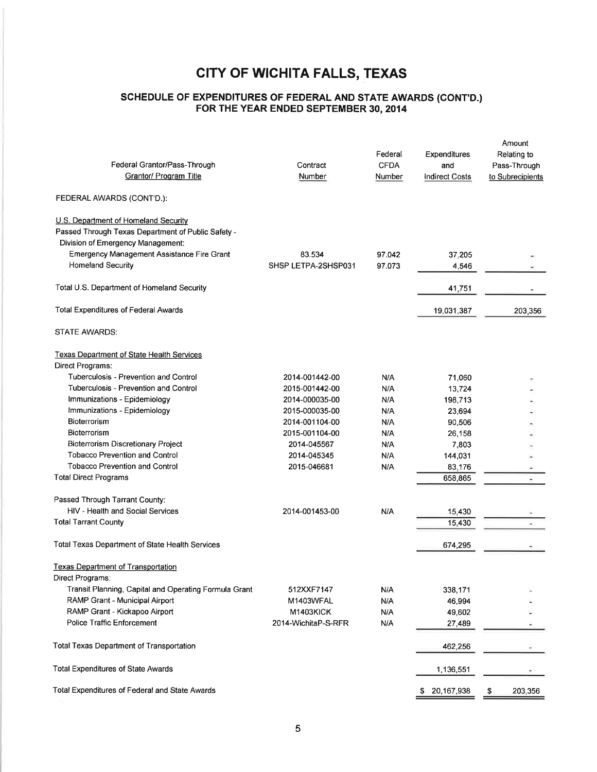#### SCHEDULE OF EXPENDITURES OF FEDERAL AND STATE AWARDS (CONT'D.) FOR THE YEAR ENDED SEPTEMBER 30,2OI4

| Federal Grantor/Pass-Through<br>Grantor/ Program Title                                                                                                                        | Contract<br>Number  | Federal<br><b>CFDA</b><br>Number | Expenditures<br>and<br><b>Indirect Costs</b> | Amount<br>Relating to<br>Pass-Through<br>to Subrecipients |
|-------------------------------------------------------------------------------------------------------------------------------------------------------------------------------|---------------------|----------------------------------|----------------------------------------------|-----------------------------------------------------------|
| FEDERAL AWARDS (CONT'D.):                                                                                                                                                     |                     |                                  |                                              |                                                           |
| U.S. Department of Homeland Security<br>Passed Through Texas Department of Public Safety -<br>Division of Emergency Management:<br>Emergency Management Assistance Fire Grant | 83.534              | 97.042                           | 37,205                                       |                                                           |
| <b>Homeland Security</b>                                                                                                                                                      | SHSP LETPA-2SHSP031 | 97.073                           | 4,546                                        |                                                           |
| Total U.S. Department of Homeland Security                                                                                                                                    |                     |                                  | 41,751                                       |                                                           |
| <b>Total Expenditures of Federal Awards</b>                                                                                                                                   |                     |                                  | 19,031,387                                   | 203,356                                                   |
| <b>STATE AWARDS:</b>                                                                                                                                                          |                     |                                  |                                              |                                                           |
| Texas Department of State Health Services<br>Direct Programs:                                                                                                                 |                     |                                  |                                              |                                                           |
| Tuberculosis - Prevention and Control                                                                                                                                         | 2014-001442-00      | N/A                              | 71,060                                       |                                                           |
| Tuberculosis - Prevention and Control                                                                                                                                         | 2015-001442-00      | N/A                              | 13,724                                       |                                                           |
| Immunizations - Epidemiology                                                                                                                                                  | 2014-000035-00      | N/A                              | 198,713                                      |                                                           |
| Immunizations - Epidemiology                                                                                                                                                  | 2015-000035-00      | N/A                              | 23,694                                       |                                                           |
| Bioterrorism                                                                                                                                                                  | 2014-001104-00      | N/A                              | 90,506                                       |                                                           |
| Bioterrorism                                                                                                                                                                  | 2015-001104-00      | N/A                              | 26,158                                       |                                                           |
| <b>Bioterrorism Discretionary Project</b>                                                                                                                                     | 2014-045567         | N/A                              | 7,803                                        |                                                           |
| <b>Tobacco Prevention and Control</b>                                                                                                                                         | 2014-045345         | N/A                              | 144,031                                      |                                                           |
| <b>Tobacco Prevention and Control</b>                                                                                                                                         | 2015-046681         | N/A                              | 83,176                                       |                                                           |
| <b>Total Direct Programs</b>                                                                                                                                                  |                     |                                  | 658,865                                      |                                                           |
| Passed Through Tarrant County:                                                                                                                                                |                     |                                  |                                              |                                                           |
| HIV - Health and Social Services                                                                                                                                              | 2014-001453-00      | N/A                              | 15,430                                       |                                                           |
| <b>Total Tarrant County</b>                                                                                                                                                   |                     |                                  | 15,430                                       |                                                           |
| Total Texas Department of State Health Services                                                                                                                               |                     |                                  | 674,295                                      |                                                           |
| <b>Texas Department of Transportation</b><br>Direct Programs:                                                                                                                 |                     |                                  |                                              |                                                           |
| Transit Planning, Capital and Operating Formula Grant                                                                                                                         | 512XXF7147          | N/A                              | 338,171                                      |                                                           |
| RAMP Grant - Municipal Airport                                                                                                                                                | M1403WFAL           | N/A                              | 46,994                                       |                                                           |
| RAMP Grant - Kickapoo Airport                                                                                                                                                 | <b>M1403KICK</b>    | N/A                              | 49,602                                       |                                                           |
| <b>Police Traffic Enforcement</b>                                                                                                                                             | 2014-WichitaP-S-RFR | N/A                              | 27,489                                       |                                                           |
| <b>Total Texas Department of Transportation</b>                                                                                                                               |                     |                                  | 462,256                                      |                                                           |
| <b>Total Expenditures of State Awards</b>                                                                                                                                     |                     |                                  | 1,136,551                                    |                                                           |
| Total Expenditures of Federal and State Awards                                                                                                                                |                     |                                  | \$20,167,938                                 | 203,356<br>\$                                             |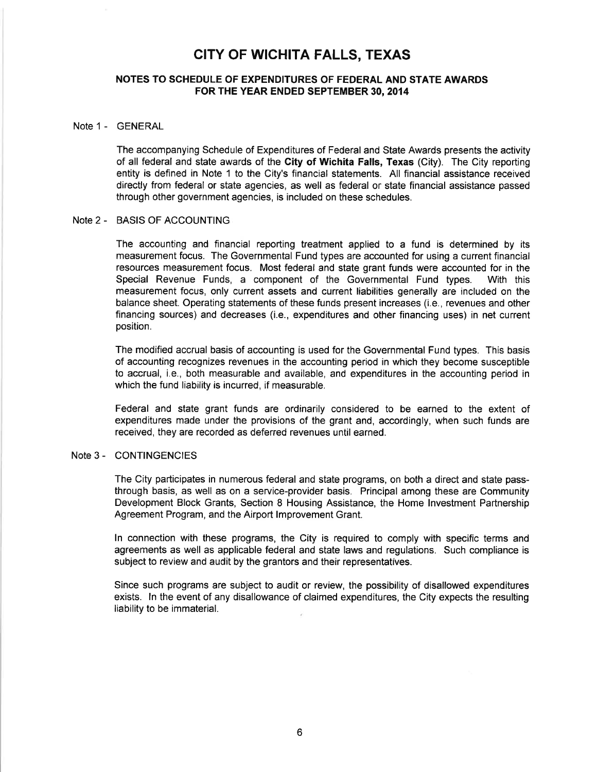#### NOTES TO SCHEDULE OF EXPENDITURES OF FEDERAL AND STATE AWARDS FOR THE YEAR ENDED SEPTEMBER 30, 2014

#### Note 1 - GENERAL

The accompanying Schedule of Expenditures of Federal and State Awards presents the activity of all federal and state awards of the City of Wichita Falls, Texas (City). The City reporting entity is defined in Note 1 to the City's financial statements. All financial assistance received directly from federal or state agencies, as well as federal or state financial assistance passed through other government agencies, is included on these schedules.

#### Note 2 - BASIS OF ACCOUNTING

The accounting and financial reporting treatment applied to a fund is determined by its measurement focus. The Governmental Fund types are accounted for using a current financial resources measurement focus. Most federal and state grant funds were accounted for in the Special Revenue Funds, a component of the Governmental Fund types. With this measurement focus, only current assets and current liabilities generally are included on the balance sheet. Operating statements of these funds present increases (i.e., revenues and other financing sources) and decreases (i.e., expenditures and other financing uses) in net current position.

The modified accrual basis of accounting is used for the Governmental Fund types. This basis of accounting recognizes revenues in the accounting period in which they become susceptible to accrual, i.e., both measurable and available, and expenditures in the accounting period in which the fund liability is incurred, if measurable.

Federal and state grant funds are ordinarily considered to be earned to the extent of expenditures made under the provisions of the grant and, accordingly, when such funds are received, they are recorded as deferred revenues until earned.

#### Note 3 - CONTINGENCIES

The City participates in numerous federal and state programs, on both a direct and state passthrough basis, as well as on a service-provider basis. Principal among these are Community Development Block Grants, Section 8 Housing Assistance, the Home lnvestment Partnership Agreement Program, and the Airport lmprovement Grant.

ln connection with these programs, the City is required to comply with specific terms and agreements as well as applicable federal and state laws and regulations. Such compliance is subject to review and audit by the grantors and their representatives.

Since such programs are subject to audit or review, the possibility of disallowed expenditures exists. ln the event of any disallowance of claimed expenditures, the City expects the resulting liability to be immaterial.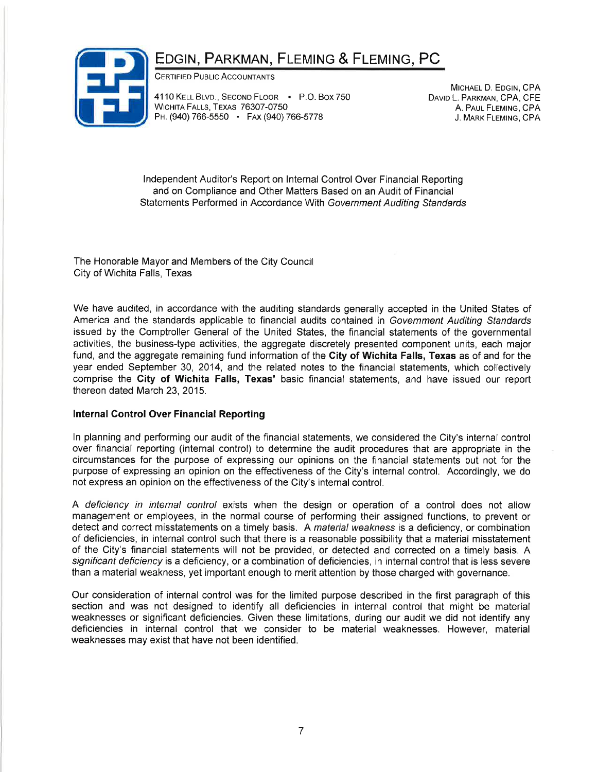# EDGIN, PARKMAN, FLEMING & FLEMING, PC



CERTIFIED PUBLIC ACCOUNTANTS

4110 KELL BLVD., SECOND FLOOR · P.O. Box 750 WICHITA FALLS, TEXAS 76307-0750 PH. (940) 766-5550 · FAX (940) 766-5778

MICHAEL D. EDGIN, CPA DAVID L. PARKMAN, CPA, CFE A. PAUL FLEMING, CPA J. MARK FLEMING, CPA

lndependent Auditor's Report on lnternal Control Over Financial Reporting and on Compliance and Other Matters Based on an Audit of Financial Statements Performed in Accordance With Government Auditing Sfandards

The Honorable Mayor and Members of the City Council City of Wichita Falls, Texas

We have audited, in accordance with the auditing standards generally accepted in the United States of America and the standards applicable to financial audits contained in Government Auditing Standards issued by the Comptroller General of the United States, the financial statements of the governmental activities, the business-type activities, the aggregate discretely presented component units, each major fund, and the aggregate remaining fund information of the City of Wichita Falls, Texas as of and for the year ended September 30, 2014, and the related notes to the financial statements, which collectively comprise the City of Wichita Falls, Texas' basic financial statements, and have issued our report thereon dated March 23,2015.

### Internal Control Over Financial Reporting

ln planning and performing our audit of the financial statements, we considered the City's internal control over financial reporting (internal control) to determine the audit procedures that are appropriate in the circumstances for the purpose of expressing our opinions on the financial statements but not for the purpose of expressing an opinion on the effectiveness of the City's internal control. Accordingly, we do not express an opinion on the effectiveness of the City's internal control.

A deficiency in internal control exists when the design or operation of a control does not allow management or employees, in the normal course of performing their assigned functions, to prevent or detect and correct misstatements on a timely basis. A material weakness is a deficiency, or combination of deficiencies, in internal control such that there is a reasonable possibility that a material misstatement of the City's financial statements will not be provided, or detected and corrected on a timely basis. A significant deficiency is a deficiency, or a combination of deficiencies, in internal control that is less severe than a material weakness, yet important enough to merit attention by those charged with governance.

Our consideration of internal control was for the limited purpose described in the first paragraph of this section and was not designed to identify all deficiencies in internal control that might be material weaknesses or significant deficiencies. Given these limitations, during our audit we did not identify any deficiencies in internal control that we consider to be material weaknesses. However, material weaknesses may exist that have not been identified.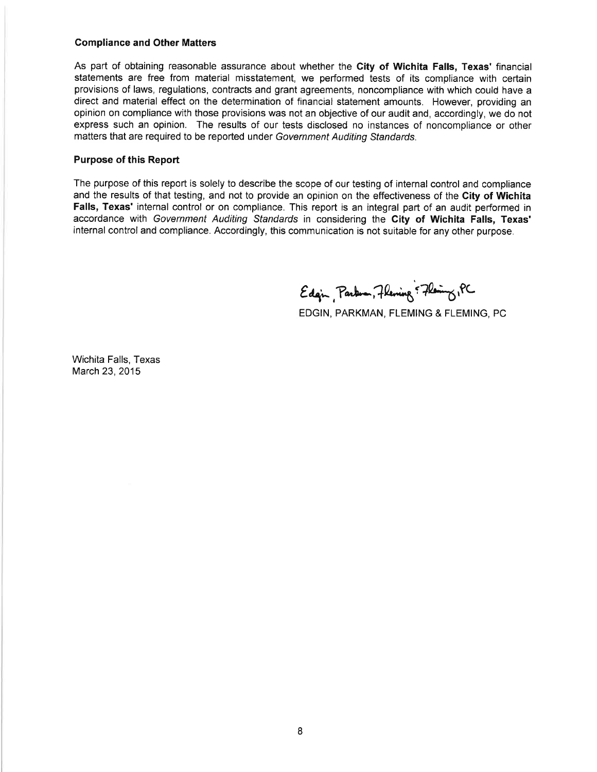#### Compliance and Other Matters

As part of obtaining reasonable assurance about whether the City of Wichita Falls, Texas' financial statements are free from material misstatement, we performed tests of its compliance with certain provisions of laws, regulations, contracts and grant agreements, noncompliance with which could have a direct and material effect on the determination of financial statement amounts. However, providing an opinion on compliance with those provisions was not an objective of our audit and, accordingly, we do not express such an opinion. The results of our tests disclosed no instances of noncompliance or other matters that are required to be reported under Government Auditing Standards.

#### Purpose of this Report

The purpose of this report is solely to describe the scope of our testing of internal control and compliance and the results of that testing, and not to provide an opinion on the effectiveness of the City of Wichita Falls, Texas' internal control or on compliance. This report is an integral part of an audit performed in accordance with Government Auditing Standards in considering the City of Wichita Falls, Texas' internal control and compliance. Accordingly, this communication is not suitable for any other purpose.

Edgin, Parken, Flening & Flening, PC

EDGIN, PARKMAN, FLEMING & FLEMING, PC

Wichita Falls, Texas March 23,2015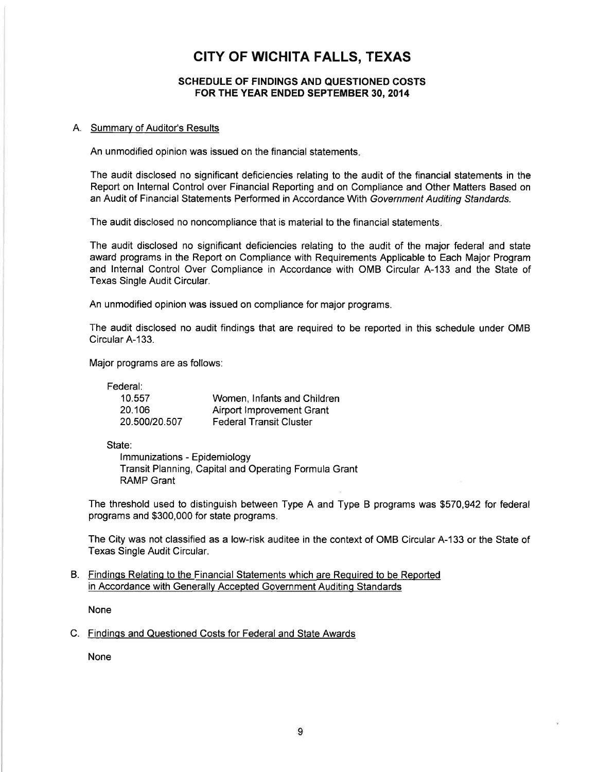#### SCHEDULE OF FINDINGS AND QUESTIONED COSTS FOR THE YEAR ENDED SEPTEMBER 30, 2014

#### A. Summarv of Auditor's Results

An unmodifíed opinion was issued on the financial statements

The audit disclosed no significant deficiencies relating to the audit of the financial statements in the Report on lnternal Control over Financial Reporting and on Compliance and Other Matters Based on an Audit of Financial Statements Performed in Accordance With Government Auditing Standards.

The audit disclosed no noncompliance that is material to the financial statements

The audit disclosed no significant deficiencies relating to the audit of the major federal and state award programs in the Report on Compliance with Requirements Applicable to Each Major Program and lnternal Control Over Compliance in Accordance with OMB Circular A-133 and the State of Texas Single Audit Circular.

An unmodified opinion was issued on compliance for major programs.

The audit disclosed no audit findings that are required to be reported in this schedule under OMB Circular A-133.

Major programs are as follows:

Federal:

| 10.557        | Women, Infants and Children    |
|---------------|--------------------------------|
| 20.106        | Airport Improvement Grant      |
| 20.500/20.507 | <b>Federal Transit Cluster</b> |

State:

lmmunizations - Epidemiology Transit Planning, Capital and Operating Formula Grant RAMP Grant

The threshold used to distinguish between Type A and Type B programs was \$570,942 for federal programs and \$300,000 for state programs.

The City was not classified as a low-risk auditee in the context of OMB Circular A-133 or the State of Texas Single Audit Circular.

#### B. Findinqs Relatinq to the Financial Statements which are Required to be Reported in Accordance with Generally Accepted Government Auditinq Standards

None

#### C. Findings and Questioned Costs for Federal and State Awards

None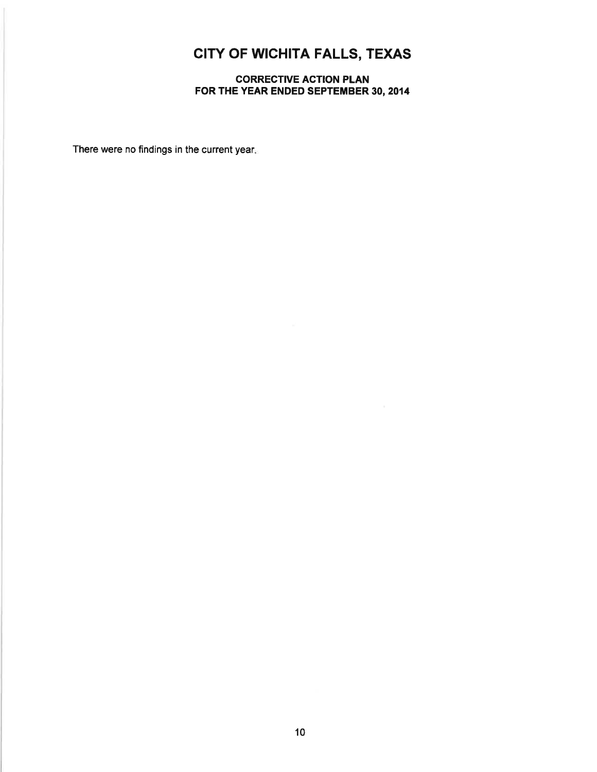### CORRECTIVE ACTION PLAN FOR THE YEAR ENDED SEPTEMBER 30, 2014

There were no findings in the current year.